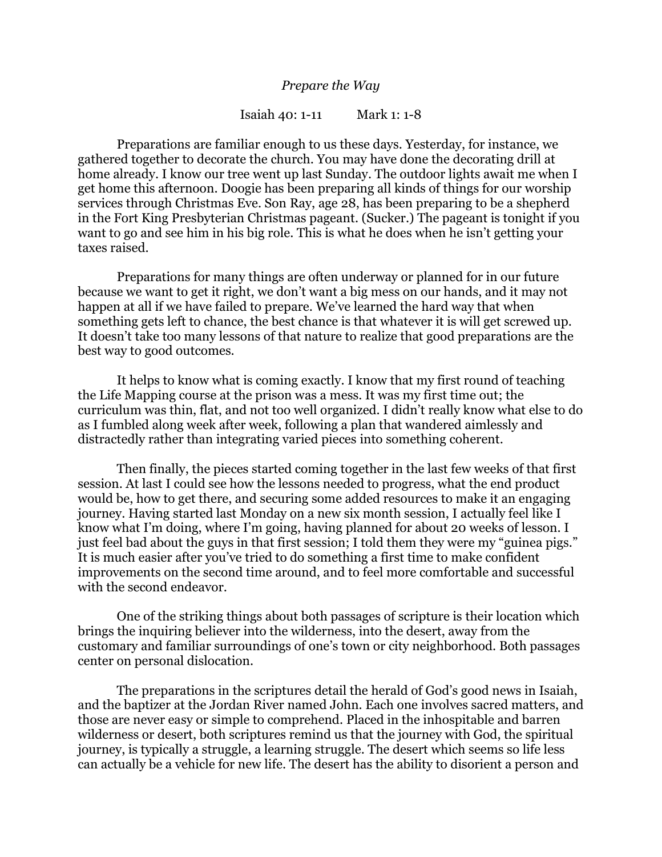## *Prepare the Way*

## Isaiah 40: 1-11 Mark 1: 1-8

Preparations are familiar enough to us these days. Yesterday, for instance, we gathered together to decorate the church. You may have done the decorating drill at home already. I know our tree went up last Sunday. The outdoor lights await me when I get home this afternoon. Doogie has been preparing all kinds of things for our worship services through Christmas Eve. Son Ray, age 28, has been preparing to be a shepherd in the Fort King Presbyterian Christmas pageant. (Sucker.) The pageant is tonight if you want to go and see him in his big role. This is what he does when he isn't getting your taxes raised.

Preparations for many things are often underway or planned for in our future because we want to get it right, we don't want a big mess on our hands, and it may not happen at all if we have failed to prepare. We've learned the hard way that when something gets left to chance, the best chance is that whatever it is will get screwed up. It doesn't take too many lessons of that nature to realize that good preparations are the best way to good outcomes.

It helps to know what is coming exactly. I know that my first round of teaching the Life Mapping course at the prison was a mess. It was my first time out; the curriculum was thin, flat, and not too well organized. I didn't really know what else to do as I fumbled along week after week, following a plan that wandered aimlessly and distractedly rather than integrating varied pieces into something coherent.

Then finally, the pieces started coming together in the last few weeks of that first session. At last I could see how the lessons needed to progress, what the end product would be, how to get there, and securing some added resources to make it an engaging journey. Having started last Monday on a new six month session, I actually feel like I know what I'm doing, where I'm going, having planned for about 20 weeks of lesson. I just feel bad about the guys in that first session; I told them they were my "guinea pigs." It is much easier after you've tried to do something a first time to make confident improvements on the second time around, and to feel more comfortable and successful with the second endeavor.

One of the striking things about both passages of scripture is their location which brings the inquiring believer into the wilderness, into the desert, away from the customary and familiar surroundings of one's town or city neighborhood. Both passages center on personal dislocation.

The preparations in the scriptures detail the herald of God's good news in Isaiah, and the baptizer at the Jordan River named John. Each one involves sacred matters, and those are never easy or simple to comprehend. Placed in the inhospitable and barren wilderness or desert, both scriptures remind us that the journey with God, the spiritual journey, is typically a struggle, a learning struggle. The desert which seems so life less can actually be a vehicle for new life. The desert has the ability to disorient a person and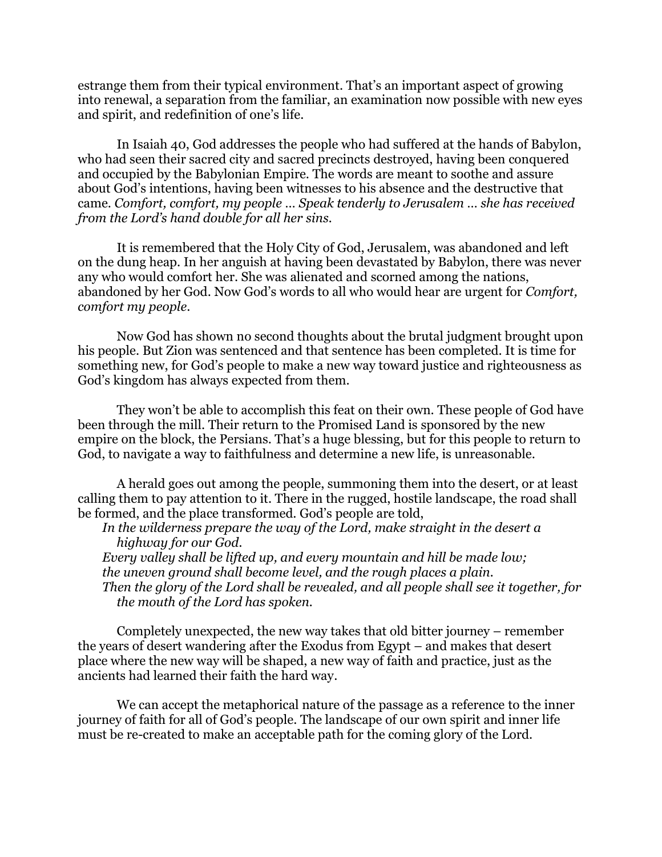estrange them from their typical environment. That's an important aspect of growing into renewal, a separation from the familiar, an examination now possible with new eyes and spirit, and redefinition of one's life.

In Isaiah 40, God addresses the people who had suffered at the hands of Babylon, who had seen their sacred city and sacred precincts destroyed, having been conquered and occupied by the Babylonian Empire. The words are meant to soothe and assure about God's intentions, having been witnesses to his absence and the destructive that came. *Comfort, comfort, my people … Speak tenderly to Jerusalem … she has received from the Lord's hand double for all her sins.*

It is remembered that the Holy City of God, Jerusalem, was abandoned and left on the dung heap. In her anguish at having been devastated by Babylon, there was never any who would comfort her. She was alienated and scorned among the nations, abandoned by her God. Now God's words to all who would hear are urgent for *Comfort, comfort my people*.

Now God has shown no second thoughts about the brutal judgment brought upon his people. But Zion was sentenced and that sentence has been completed. It is time for something new, for God's people to make a new way toward justice and righteousness as God's kingdom has always expected from them.

They won't be able to accomplish this feat on their own. These people of God have been through the mill. Their return to the Promised Land is sponsored by the new empire on the block, the Persians. That's a huge blessing, but for this people to return to God, to navigate a way to faithfulness and determine a new life, is unreasonable.

A herald goes out among the people, summoning them into the desert, or at least calling them to pay attention to it. There in the rugged, hostile landscape, the road shall be formed, and the place transformed. God's people are told,

*In the wilderness prepare the way of the Lord, make straight in the desert a highway for our God. Every valley shall be lifted up, and every mountain and hill be made low; the uneven ground shall become level, and the rough places a plain.* 

*Then the glory of the Lord shall be revealed, and all people shall see it together, for the mouth of the Lord has spoken.*

Completely unexpected, the new way takes that old bitter journey – remember the years of desert wandering after the Exodus from Egypt – and makes that desert place where the new way will be shaped, a new way of faith and practice, just as the ancients had learned their faith the hard way.

We can accept the metaphorical nature of the passage as a reference to the inner journey of faith for all of God's people. The landscape of our own spirit and inner life must be re-created to make an acceptable path for the coming glory of the Lord.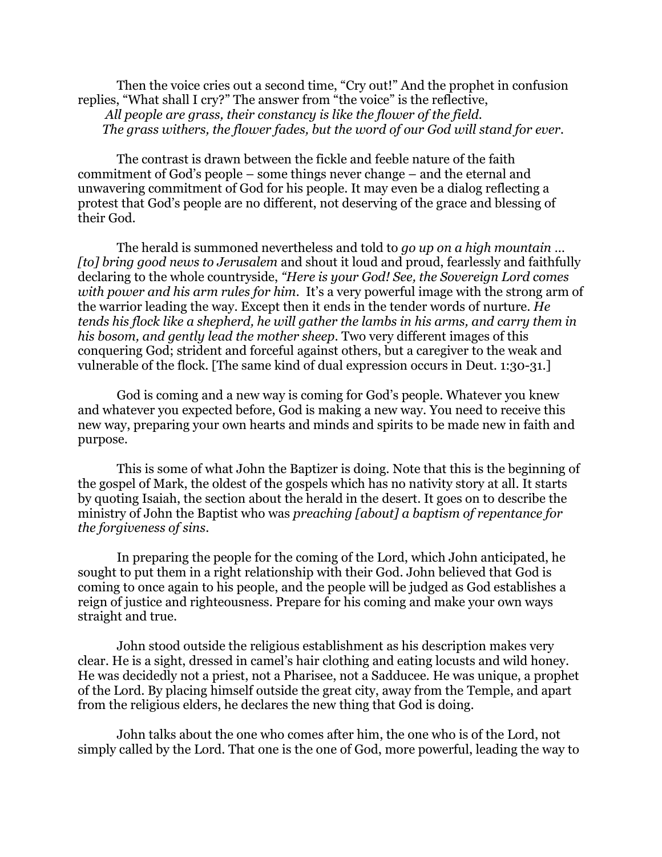Then the voice cries out a second time, "Cry out!" And the prophet in confusion replies, "What shall I cry?" The answer from "the voice" is the reflective, *All people are grass, their constancy is like the flower of the field. The grass withers, the flower fades, but the word of our God will stand for ever.*

The contrast is drawn between the fickle and feeble nature of the faith commitment of God's people – some things never change – and the eternal and unwavering commitment of God for his people. It may even be a dialog reflecting a protest that God's people are no different, not deserving of the grace and blessing of their God.

The herald is summoned nevertheless and told to *go up on a high mountain … [to] bring good news to Jerusalem* and shout it loud and proud, fearlessly and faithfully declaring to the whole countryside, *"Here is your God! See, the Sovereign Lord comes with power and his arm rules for him.* It's a very powerful image with the strong arm of the warrior leading the way. Except then it ends in the tender words of nurture. *He tends his flock like a shepherd, he will gather the lambs in his arms, and carry them in his bosom, and gently lead the mother sheep*. Two very different images of this conquering God; strident and forceful against others, but a caregiver to the weak and vulnerable of the flock. [The same kind of dual expression occurs in Deut. 1:30-31.]

God is coming and a new way is coming for God's people. Whatever you knew and whatever you expected before, God is making a new way. You need to receive this new way, preparing your own hearts and minds and spirits to be made new in faith and purpose.

This is some of what John the Baptizer is doing. Note that this is the beginning of the gospel of Mark, the oldest of the gospels which has no nativity story at all. It starts by quoting Isaiah, the section about the herald in the desert. It goes on to describe the ministry of John the Baptist who was *preaching [about] a baptism of repentance for the forgiveness of sins*.

In preparing the people for the coming of the Lord, which John anticipated, he sought to put them in a right relationship with their God. John believed that God is coming to once again to his people, and the people will be judged as God establishes a reign of justice and righteousness. Prepare for his coming and make your own ways straight and true.

John stood outside the religious establishment as his description makes very clear. He is a sight, dressed in camel's hair clothing and eating locusts and wild honey. He was decidedly not a priest, not a Pharisee, not a Sadducee. He was unique, a prophet of the Lord. By placing himself outside the great city, away from the Temple, and apart from the religious elders, he declares the new thing that God is doing.

John talks about the one who comes after him, the one who is of the Lord, not simply called by the Lord. That one is the one of God, more powerful, leading the way to